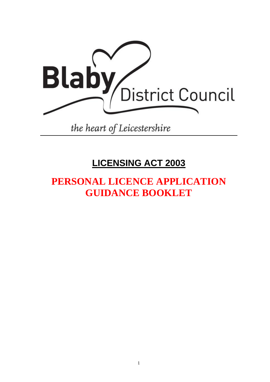

the heart of Leicestershire

## **LICENSING ACT 2003**

# **PERSONAL LICENCE APPLICATION GUIDANCE BOOKLET**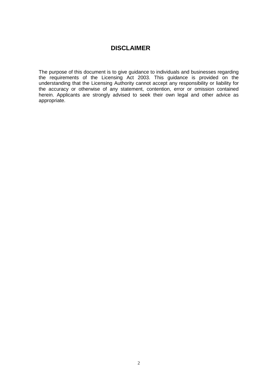### **DISCLAIMER**

The purpose of this document is to give guidance to individuals and businesses regarding the requirements of the Licensing Act 2003. This guidance is provided on the understanding that the Licensing Authority cannot accept any responsibility or liability for the accuracy or otherwise of any statement, contention, error or omission contained herein. Applicants are strongly advised to seek their own legal and other advice as appropriate.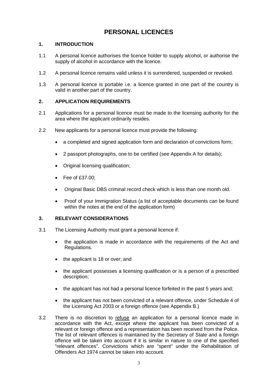### **PERSONAL LICENCES**

### **1. INTRODUCTION**

- 1.1 A personal licence authorises the licence holder to supply alcohol, or authorise the supply of alcohol in accordance with the licence.
- 1.2 A personal licence remains valid unless it is surrendered, suspended or revoked.
- 1.3 A personal licence is portable i.e. a licence granted in one part of the country is valid in another part of the country.

### **2. APPLICATION REQUIREMENTS**

- 2.1 Applications for a personal licence must be made to the licensing authority for the area where the applicant ordinarily resides.
- 2.2 New applicants for a personal licence must provide the following:
	- a completed and signed application form and declaration of convictions form;
	- 2 passport photographs, one to be certified (see Appendix A for details);
	- Original licensing qualification:
	- $\bullet$  Fee of £37.00;
	- Original Basic DBS criminal record check which is less than one month old.
	- Proof of your Immigration Status (a list of acceptable documents can be found within the notes at the end of the application form)

### **3. RELEVANT CONSIDERATIONS**

- 3.1 The Licensing Authority must grant a personal licence if:
	- the application is made in accordance with the requirements of the Act and Regulations.
	- the applicant is 18 or over; and
	- the applicant possesses a licensing qualification or is a person of a prescribed description;
	- the applicant has not had a personal licence forfeited in the past 5 years and;
	- the applicant has not been convicted of a relevant offence, under Schedule 4 of the Licensing Act 2003 or a foreign offence (see Appendix B.)
- 3.2 There is no discretion to refuse an application for a personal licence made in accordance with the Act, except where the applicant has been convicted of a relevant or foreign offence and a representation has been received from the Police. The list of relevant offences is maintained by the Secretary of State and a foreign offence will be taken into account if it is similar in nature to one of the specified "relevant offences". Convictions which are "spent" under the Rehabilitation of Offenders Act 1974 cannot be taken into account.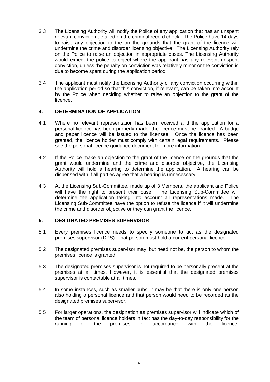- 3.3 The Licensing Authority will notify the Police of any application that has an unspent relevant conviction detailed on the criminal record check. The Police have 14 days to raise any objection to the on the grounds that the grant of the licence will undermine the crime and disorder licensing objective. The Licensing Authority rely on the Police to raise an objection in appropriate cases. The Licensing Authority would expect the police to object where the applicant has any relevant unspent conviction, unless the penalty on conviction was relatively minor or the conviction is due to become spent during the application period.
- 3.4 The applicant must notify the Licensing Authority of any conviction occurring within the application period so that this conviction, if relevant, can be taken into account by the Police when deciding whether to raise an objection to the grant of the licence.

#### **4. DETERMINATION OF APPLICATION**

- 4.1 Where no relevant representation has been received and the application for a personal licence has been properly made, the licence must be granted. A badge and paper licence will be issued to the licensee. Once the licence has been granted, the licence holder must comply with certain legal requirements. Please see the personal licence guidance document for more information.
- 4.2 If the Police make an objection to the grant of the licence on the grounds that the grant would undermine and the crime and disorder objective, the Licensing Authority will hold a hearing to determine the application. A hearing can be dispensed with if all parties agree that a hearing is unnecessary.
- 4.3 At the Licensing Sub-Committee, made up of 3 Members, the applicant and Police will have the right to present their case. The Licensing Sub-Committee will determine the application taking into account all representations made. The Licensing Sub-Committee have the option to refuse the licence if it will undermine the crime and disorder objective or they can grant the licence.

#### **5. DESIGNATED PREMISES SUPERVISOR**

- 5.1 Every premises licence needs to specify someone to act as the designated premises supervisor (DPS). That person must hold a current personal licence.
- 5.2 The designated premises supervisor may, but need not be, the person to whom the premises licence is granted.
- 5.3 The designated premises supervisor is not required to be personally present at the premises at all times. However, it is essential that the designated premises supervisor is contactable at all times.
- 5.4 In some instances, such as smaller pubs, it may be that there is only one person also holding a personal licence and that person would need to be recorded as the designated premises supervisor.
- 5.5 For larger operations, the designation as premises supervisor will indicate which of the team of personal licence holders in fact has the day-to-day responsibility for the running of the premises in accordance with the licence.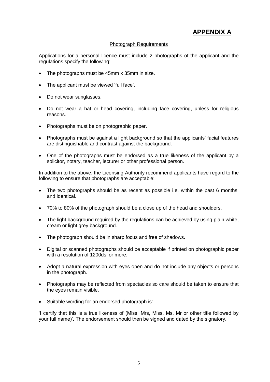### **APPENDIX A**

### Photograph Requirements

Applications for a personal licence must include 2 photographs of the applicant and the regulations specify the following:

- The photographs must be 45mm x 35mm in size.
- The applicant must be viewed 'full face'.
- Do not wear sunglasses.
- Do not wear a hat or head covering, including face covering, unless for religious reasons.
- Photographs must be on photographic paper.
- Photographs must be against a light background so that the applicants' facial features are distinguishable and contrast against the background.
- One of the photographs must be endorsed as a true likeness of the applicant by a solicitor, notary, teacher, lecturer or other professional person.

In addition to the above, the Licensing Authority recommend applicants have regard to the following to ensure that photographs are acceptable:

- The two photographs should be as recent as possible i.e. within the past 6 months, and identical.
- 70% to 80% of the photograph should be a close up of the head and shoulders.
- The light background required by the regulations can be achieved by using plain white, cream or light grey background.
- The photograph should be in sharp focus and free of shadows.
- Digital or scanned photographs should be acceptable if printed on photographic paper with a resolution of 1200dsi or more.
- Adopt a natural expression with eyes open and do not include any objects or persons in the photograph.
- Photographs may be reflected from spectacles so care should be taken to ensure that the eyes remain visible.
- Suitable wording for an endorsed photograph is:

'I certify that this is a true likeness of (Miss, Mrs, Miss, Ms, Mr or other title followed by your full name)'. The endorsement should then be signed and dated by the signatory.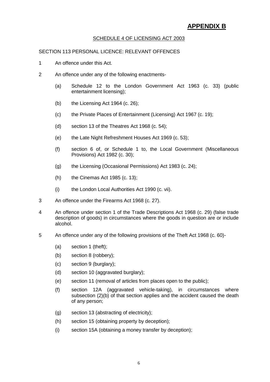### **APPENDIX B**

### SCHEDULE 4 OF LICENSING ACT 2003

#### SECTION 113 PERSONAL LICENCE: RELEVANT OFFENCES

- 1 An offence under this Act.
- 2 An offence under any of the following enactments-
	- (a) Schedule 12 to the London Government Act 1963 (c. 33) (public entertainment licensing);
	- (b) the Licensing Act 1964 (c. 26);
	- (c) the Private Places of Entertainment (Licensing) Act 1967 (c. 19);
	- (d) section 13 of the Theatres Act 1968 (c. 54);
	- (e) the Late Night Refreshment Houses Act 1969 (c. 53);
	- (f) section 6 of, or Schedule 1 to, the Local Government (Miscellaneous Provisions) Act 1982 (c. 30);
	- (g) the Licensing (Occasional Permissions) Act 1983 (c. 24);
	- (h) the Cinemas Act 1985 (c. 13);
	- (i) the London Local Authorities Act 1990 (c. vii).
- 3 An offence under the Firearms Act 1968 (c. 27).
- 4 An offence under section 1 of the Trade Descriptions Act 1968 (c. 29) (false trade description of goods) in circumstances where the goods in question are or include alcohol.
- 5 An offence under any of the following provisions of the Theft Act 1968 (c. 60)-
	- (a) section 1 (theft);
	- (b) section 8 (robbery);
	- (c) section 9 (burglary);
	- (d) section 10 (aggravated burglary);
	- (e) section 11 (removal of articles from places open to the public);
	- (f) section 12A (aggravated vehicle-taking), in circumstances where subsection (2)(b) of that section applies and the accident caused the death of any person;
	- (g) section 13 (abstracting of electricity);
	- (h) section 15 (obtaining property by deception);
	- (i) section 15A (obtaining a money transfer by deception);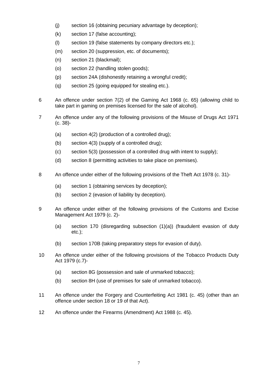- (j) section 16 (obtaining pecuniary advantage by deception);
- (k) section 17 (false accounting);
- (l) section 19 (false statements by company directors etc.);
- (m) section 20 (suppression, etc. of documents);
- (n) section 21 (blackmail);
- (o) section 22 (handling stolen goods);
- (p) section 24A (dishonestly retaining a wrongful credit);
- (q) section 25 (going equipped for stealing etc.).
- 6 An offence under section 7(2) of the Gaming Act 1968 (c. 65) (allowing child to take part in gaming on premises licensed for the sale of alcohol).
- 7 An offence under any of the following provisions of the Misuse of Drugs Act 1971 (c. 38)-
	- (a) section 4(2) (production of a controlled drug);
	- (b) section 4(3) (supply of a controlled drug);
	- (c) section 5(3) (possession of a controlled drug with intent to supply);
	- (d) section 8 (permitting activities to take place on premises).
- 8 An offence under either of the following provisions of the Theft Act 1978 (c. 31)-
	- (a) section 1 (obtaining services by deception);
	- (b) section 2 (evasion of liability by deception).
- 9 An offence under either of the following provisions of the Customs and Excise Management Act 1979 (c. 2)-
	- (a) section 170 (disregarding subsection (1)(a)) (fraudulent evasion of duty etc.);
	- (b) section 170B (taking preparatory steps for evasion of duty).
- 10 An offence under either of the following provisions of the Tobacco Products Duty Act 1979 (c.7)-
	- (a) section 8G (possession and sale of unmarked tobacco);
	- (b) section 8H (use of premises for sale of unmarked tobacco).
- 11 An offence under the Forgery and Counterfeiting Act 1981 (c. 45) (other than an offence under section 18 or 19 of that Act).
- 12 An offence under the Firearms (Amendment) Act 1988 (c. 45).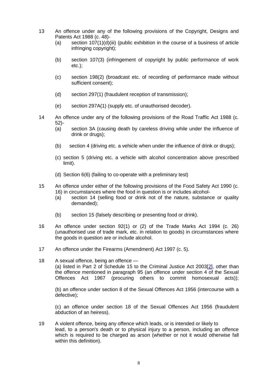- 13 An offence under any of the following provisions of the Copyright, Designs and Patents Act 1988 (c. 48)-
	- (a) section  $107(1)(d)(iii)$  (public exhibition in the course of a business of article infringing copyright);
	- (b) section 107(3) (infringement of copyright by public performance of work etc.);
	- (c) section 198(2) (broadcast etc. of recording of performance made without sufficient consent);
	- (d) section 297(1) (fraudulent reception of transmission);
	- (e) section 297A(1) (supply etc. of unauthorised decoder).
- 14 An offence under any of the following provisions of the Road Traffic Act 1988 (c. 52)-
	- (a) section 3A (causing death by careless driving while under the influence of drink or drugs);
	- (b) section 4 (driving etc. a vehicle when under the influence of drink or drugs);
	- (c) section 5 (driving etc. a vehicle with alcohol concentration above prescribed limit).
	- (d) Section 6(6) (failing to co-operate with a preliminary test)
- 15 An offence under either of the following provisions of the Food Safety Act 1990 (c. 16) in circumstances where the food in question is or includes alcohol-
	- (a) section 14 (selling food or drink not of the nature, substance or quality demanded);
	- (b) section 15 (falsely describing or presenting food or drink).
- 16 An offence under section 92(1) or (2) of the Trade Marks Act 1994 (c. 26) (unauthorised use of trade mark, etc. in relation to goods) in circumstances where the goods in question are or include alcohol.
- 17 An offence under the Firearms (Amendment) Act 1997 (c. 5).
- 18 A sexual offence, being an offence (a) listed in Part 2 of Schedule 15 to the Criminal Justice Act 2003[\[2\]](http://www.opsi.gov.uk/si/si2005/20052366.htm#note2#note2), other than the offence mentioned in paragraph 95 (an offence under section 4 of the Sexual Offences Act 1967 (procuring others to commit homosexual acts));

(b) an offence under section 8 of the Sexual Offences Act 1956 (intercourse with a defective);

(c) an offence under section 18 of the Sexual Offences Act 1956 (fraudulent abduction of an heiress).

19 A violent offence, being any offence which leads, or is intended or likely to lead, to a person's death or to physical injury to a person, including an offence which is required to be charged as arson (whether or not it would otherwise fall within this definition).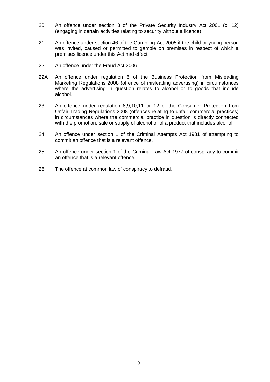- 20 An offence under section 3 of the Private Security Industry Act 2001 (c. 12) (engaging in certain activities relating to security without a licence).
- 21 An offence under section 46 of the Gambling Act 2005 if the child or young person was invited, caused or permitted to gamble on premises in respect of which a premises licence under this Act had effect.
- 22 An offence under the Fraud Act 2006
- 22A An offence under regulation 6 of the Business Protection from Misleading Marketing Regulations 2008 (offence of misleading advertising) in circumstances where the advertising in question relates to alcohol or to goods that include alcohol.
- 23 An offence under regulation 8,9,10,11 or 12 of the Consumer Protection from Unfair Trading Regulations 2008 (offences relating to unfair commercial practices) in circumstances where the commercial practice in question is directly connected with the promotion, sale or supply of alcohol or of a product that includes alcohol.
- 24 An offence under section 1 of the Criminal Attempts Act 1981 of attempting to commit an offence that is a relevant offence.
- 25 An offence under section 1 of the Criminal Law Act 1977 of conspiracy to commit an offence that is a relevant offence.
- 26 The offence at common law of conspiracy to defraud.